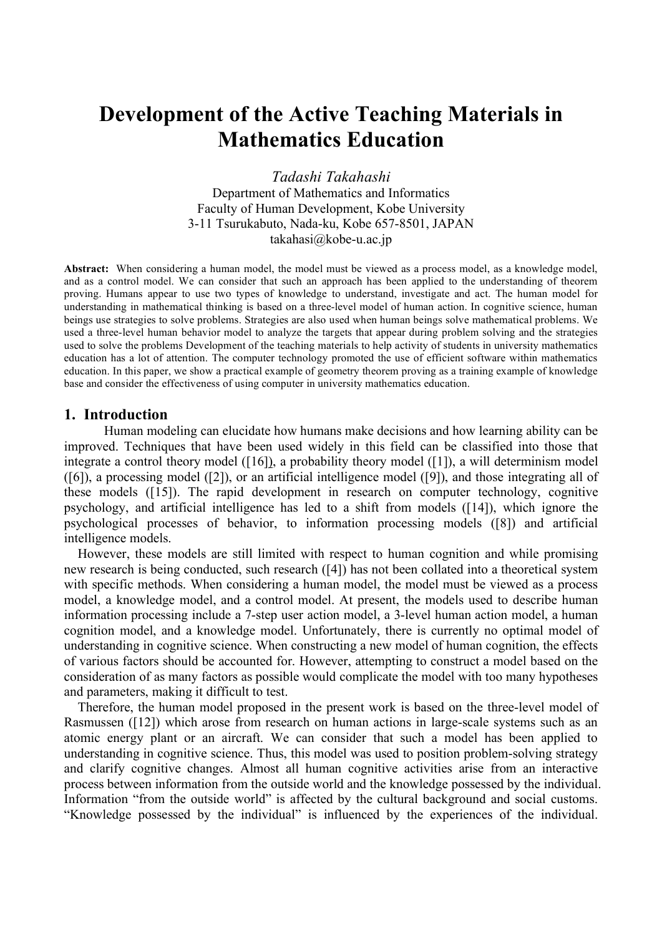# **Development of the Active Teaching Materials in Mathematics Education**

*Tadashi Takahashi* Department of Mathematics and Informatics Faculty of Human Development, Kobe University 3-11 Tsurukabuto, Nada-ku, Kobe 657-8501, JAPAN takahasi@kobe-u.ac.jp

**Abstract:** When considering a human model, the model must be viewed as a process model, as a knowledge model, and as a control model. We can consider that such an approach has been applied to the understanding of theorem proving. Humans appear to use two types of knowledge to understand, investigate and act. The human model for understanding in mathematical thinking is based on a three-level model of human action. In cognitive science, human beings use strategies to solve problems. Strategies are also used when human beings solve mathematical problems. We used a three-level human behavior model to analyze the targets that appear during problem solving and the strategies used to solve the problems Development of the teaching materials to help activity of students in university mathematics education has a lot of attention. The computer technology promoted the use of efficient software within mathematics education. In this paper, we show a practical example of geometry theorem proving as a training example of knowledge base and consider the effectiveness of using computer in university mathematics education.

#### **1. Introduction**

Human modeling can elucidate how humans make decisions and how learning ability can be improved. Techniques that have been used widely in this field can be classified into those that integrate a control theory model ([16]), a probability theory model ([1]), a will determinism model ([6]), a processing model ([2]), or an artificial intelligence model ([9]), and those integrating all of these models ([15]). The rapid development in research on computer technology, cognitive psychology, and artificial intelligence has led to a shift from models ([14]), which ignore the psychological processes of behavior, to information processing models ([8]) and artificial intelligence models.

However, these models are still limited with respect to human cognition and while promising new research is being conducted, such research ([4]) has not been collated into a theoretical system with specific methods. When considering a human model, the model must be viewed as a process model, a knowledge model, and a control model. At present, the models used to describe human information processing include a 7-step user action model, a 3-level human action model, a human cognition model, and a knowledge model. Unfortunately, there is currently no optimal model of understanding in cognitive science. When constructing a new model of human cognition, the effects of various factors should be accounted for. However, attempting to construct a model based on the consideration of as many factors as possible would complicate the model with too many hypotheses and parameters, making it difficult to test.

Therefore, the human model proposed in the present work is based on the three-level model of Rasmussen ([12]) which arose from research on human actions in large-scale systems such as an atomic energy plant or an aircraft. We can consider that such a model has been applied to understanding in cognitive science. Thus, this model was used to position problem-solving strategy and clarify cognitive changes. Almost all human cognitive activities arise from an interactive process between information from the outside world and the knowledge possessed by the individual. Information "from the outside world" is affected by the cultural background and social customs. "Knowledge possessed by the individual" is influenced by the experiences of the individual.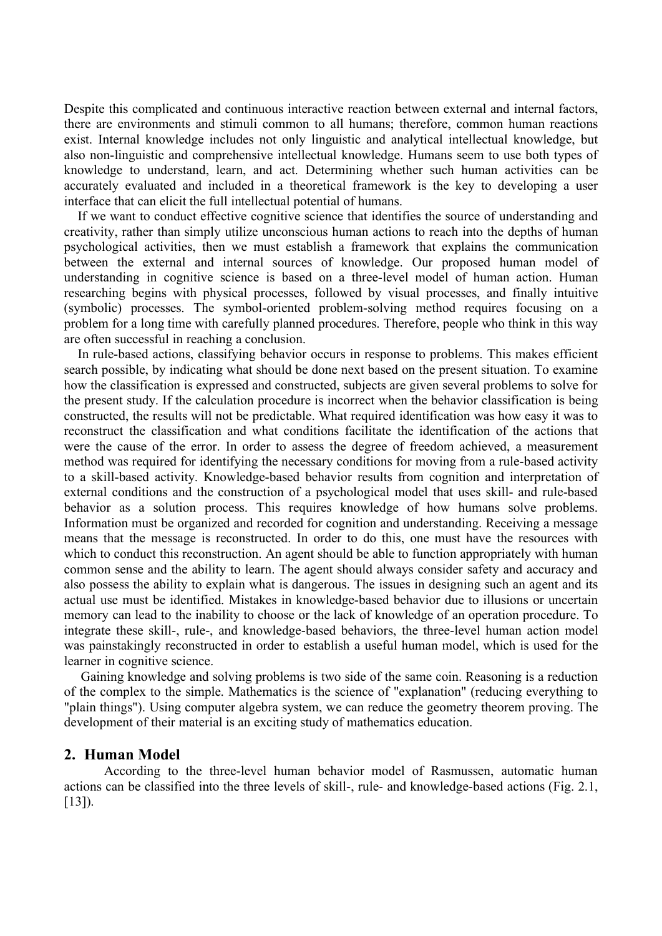Despite this complicated and continuous interactive reaction between external and internal factors, there are environments and stimuli common to all humans; therefore, common human reactions exist. Internal knowledge includes not only linguistic and analytical intellectual knowledge, but also non-linguistic and comprehensive intellectual knowledge. Humans seem to use both types of knowledge to understand, learn, and act. Determining whether such human activities can be accurately evaluated and included in a theoretical framework is the key to developing a user interface that can elicit the full intellectual potential of humans.

If we want to conduct effective cognitive science that identifies the source of understanding and creativity, rather than simply utilize unconscious human actions to reach into the depths of human psychological activities, then we must establish a framework that explains the communication between the external and internal sources of knowledge. Our proposed human model of understanding in cognitive science is based on a three-level model of human action. Human researching begins with physical processes, followed by visual processes, and finally intuitive (symbolic) processes. The symbol-oriented problem-solving method requires focusing on a problem for a long time with carefully planned procedures. Therefore, people who think in this way are often successful in reaching a conclusion.

In rule-based actions, classifying behavior occurs in response to problems. This makes efficient search possible, by indicating what should be done next based on the present situation. To examine how the classification is expressed and constructed, subjects are given several problems to solve for the present study. If the calculation procedure is incorrect when the behavior classification is being constructed, the results will not be predictable. What required identification was how easy it was to reconstruct the classification and what conditions facilitate the identification of the actions that were the cause of the error. In order to assess the degree of freedom achieved, a measurement method was required for identifying the necessary conditions for moving from a rule-based activity to a skill-based activity. Knowledge-based behavior results from cognition and interpretation of external conditions and the construction of a psychological model that uses skill- and rule-based behavior as a solution process. This requires knowledge of how humans solve problems. Information must be organized and recorded for cognition and understanding. Receiving a message means that the message is reconstructed. In order to do this, one must have the resources with which to conduct this reconstruction. An agent should be able to function appropriately with human common sense and the ability to learn. The agent should always consider safety and accuracy and also possess the ability to explain what is dangerous. The issues in designing such an agent and its actual use must be identified. Mistakes in knowledge-based behavior due to illusions or uncertain memory can lead to the inability to choose or the lack of knowledge of an operation procedure. To integrate these skill-, rule-, and knowledge-based behaviors, the three-level human action model was painstakingly reconstructed in order to establish a useful human model, which is used for the learner in cognitive science.

Gaining knowledge and solving problems is two side of the same coin. Reasoning is a reduction of the complex to the simple. Mathematics is the science of "explanation" (reducing everything to "plain things"). Using computer algebra system, we can reduce the geometry theorem proving. The development of their material is an exciting study of mathematics education.

## **2. Human Model**

According to the three-level human behavior model of Rasmussen, automatic human actions can be classified into the three levels of skill-, rule- and knowledge-based actions (Fig. 2.1, [13]).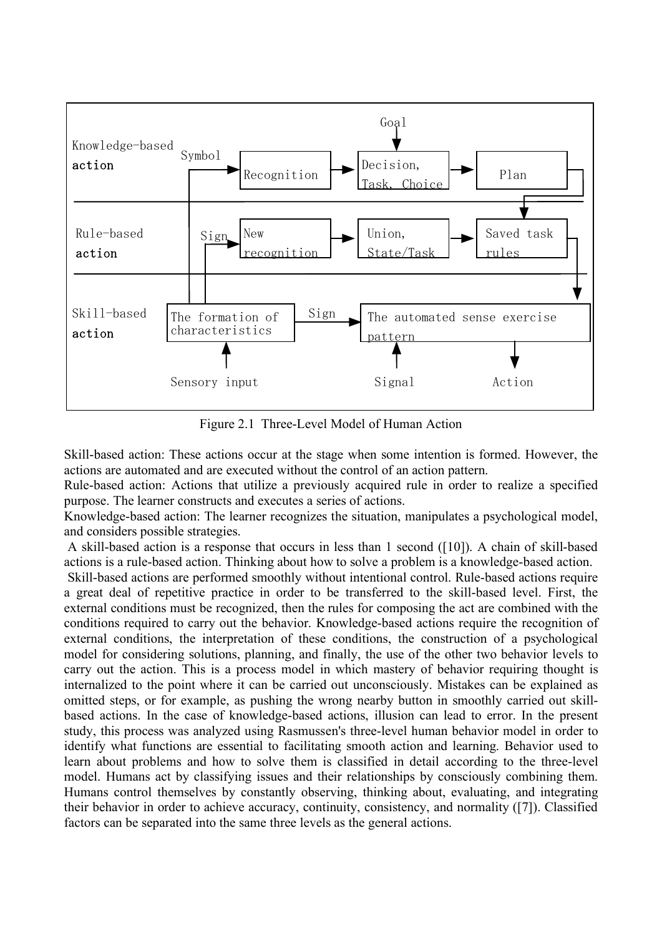

Figure 2.1 Three-Level Model of Human Action

Skill-based action: These actions occur at the stage when some intention is formed. However, the actions are automated and are executed without the control of an action pattern.

Rule-based action: Actions that utilize a previously acquired rule in order to realize a specified purpose. The learner constructs and executes a series of actions.

Knowledge-based action: The learner recognizes the situation, manipulates a psychological model, and considers possible strategies.

A skill-based action is a response that occurs in less than 1 second ([10]). A chain of skill-based actions is a rule-based action. Thinking about how to solve a problem is a knowledge-based action.

Skill-based actions are performed smoothly without intentional control. Rule-based actions require a great deal of repetitive practice in order to be transferred to the skill-based level. First, the external conditions must be recognized, then the rules for composing the act are combined with the conditions required to carry out the behavior. Knowledge-based actions require the recognition of external conditions, the interpretation of these conditions, the construction of a psychological model for considering solutions, planning, and finally, the use of the other two behavior levels to carry out the action. This is a process model in which mastery of behavior requiring thought is internalized to the point where it can be carried out unconsciously. Mistakes can be explained as omitted steps, or for example, as pushing the wrong nearby button in smoothly carried out skillbased actions. In the case of knowledge-based actions, illusion can lead to error. In the present study, this process was analyzed using Rasmussen's three-level human behavior model in order to identify what functions are essential to facilitating smooth action and learning. Behavior used to learn about problems and how to solve them is classified in detail according to the three-level model. Humans act by classifying issues and their relationships by consciously combining them. Humans control themselves by constantly observing, thinking about, evaluating, and integrating their behavior in order to achieve accuracy, continuity, consistency, and normality ([7]). Classified factors can be separated into the same three levels as the general actions.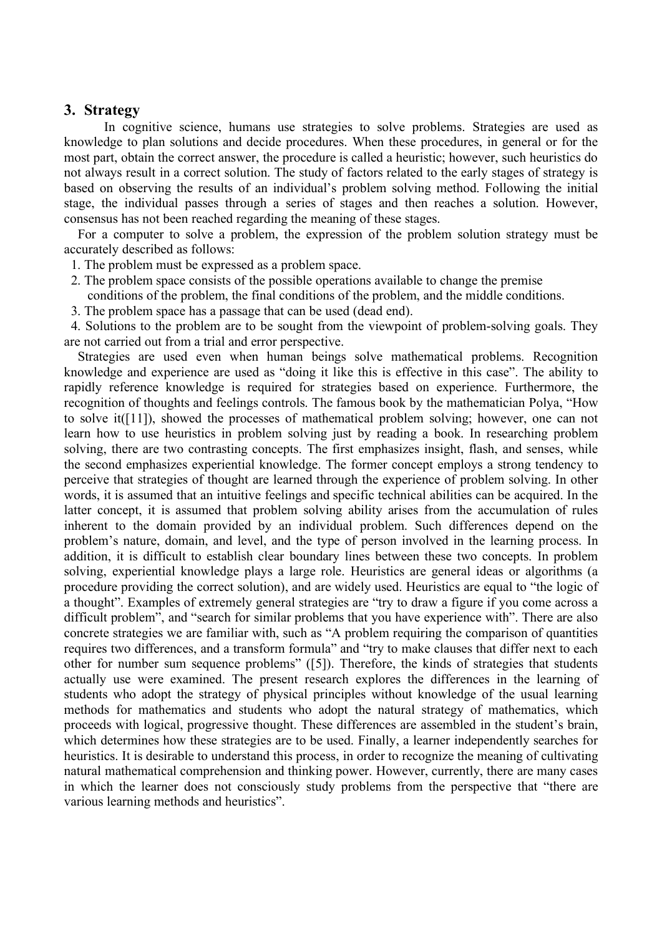#### **3. Strategy**

In cognitive science, humans use strategies to solve problems. Strategies are used as knowledge to plan solutions and decide procedures. When these procedures, in general or for the most part, obtain the correct answer, the procedure is called a heuristic; however, such heuristics do not always result in a correct solution. The study of factors related to the early stages of strategy is based on observing the results of an individual's problem solving method. Following the initial stage, the individual passes through a series of stages and then reaches a solution. However, consensus has not been reached regarding the meaning of these stages.

For a computer to solve a problem, the expression of the problem solution strategy must be accurately described as follows:

- 1. The problem must be expressed as a problem space.
- 2. The problem space consists of the possible operations available to change the premise
- conditions of the problem, the final conditions of the problem, and the middle conditions.
- 3. The problem space has a passage that can be used (dead end).

4. Solutions to the problem are to be sought from the viewpoint of problem-solving goals. They are not carried out from a trial and error perspective.

Strategies are used even when human beings solve mathematical problems. Recognition knowledge and experience are used as "doing it like this is effective in this case". The ability to rapidly reference knowledge is required for strategies based on experience. Furthermore, the recognition of thoughts and feelings controls. The famous book by the mathematician Polya, "How to solve it([11]), showed the processes of mathematical problem solving; however, one can not learn how to use heuristics in problem solving just by reading a book. In researching problem solving, there are two contrasting concepts. The first emphasizes insight, flash, and senses, while the second emphasizes experiential knowledge. The former concept employs a strong tendency to perceive that strategies of thought are learned through the experience of problem solving. In other words, it is assumed that an intuitive feelings and specific technical abilities can be acquired. In the latter concept, it is assumed that problem solving ability arises from the accumulation of rules inherent to the domain provided by an individual problem. Such differences depend on the problem's nature, domain, and level, and the type of person involved in the learning process. In addition, it is difficult to establish clear boundary lines between these two concepts. In problem solving, experiential knowledge plays a large role. Heuristics are general ideas or algorithms (a procedure providing the correct solution), and are widely used. Heuristics are equal to "the logic of a thought". Examples of extremely general strategies are "try to draw a figure if you come across a difficult problem", and "search for similar problems that you have experience with". There are also concrete strategies we are familiar with, such as "A problem requiring the comparison of quantities requires two differences, and a transform formula" and "try to make clauses that differ next to each other for number sum sequence problems" ([5]). Therefore, the kinds of strategies that students actually use were examined. The present research explores the differences in the learning of students who adopt the strategy of physical principles without knowledge of the usual learning methods for mathematics and students who adopt the natural strategy of mathematics, which proceeds with logical, progressive thought. These differences are assembled in the student's brain, which determines how these strategies are to be used. Finally, a learner independently searches for heuristics. It is desirable to understand this process, in order to recognize the meaning of cultivating natural mathematical comprehension and thinking power. However, currently, there are many cases in which the learner does not consciously study problems from the perspective that "there are various learning methods and heuristics".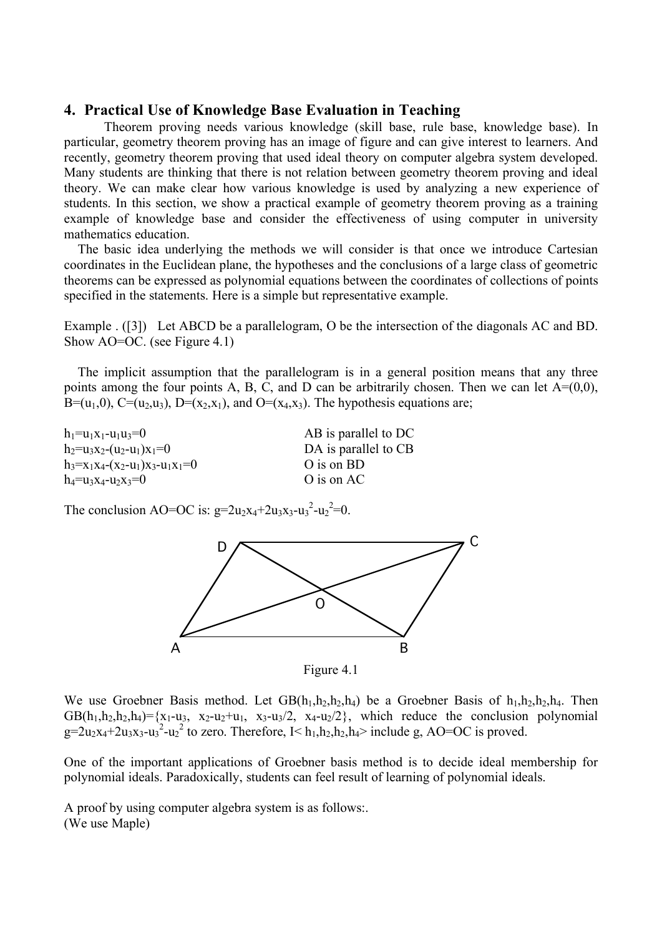## **4. Practical Use of Knowledge Base Evaluation in Teaching**

Theorem proving needs various knowledge (skill base, rule base, knowledge base). In particular, geometry theorem proving has an image of figure and can give interest to learners. And recently, geometry theorem proving that used ideal theory on computer algebra system developed. Many students are thinking that there is not relation between geometry theorem proving and ideal theory. We can make clear how various knowledge is used by analyzing a new experience of students. In this section, we show a practical example of geometry theorem proving as a training example of knowledge base and consider the effectiveness of using computer in university mathematics education.

The basic idea underlying the methods we will consider is that once we introduce Cartesian coordinates in the Euclidean plane, the hypotheses and the conclusions of a large class of geometric theorems can be expressed as polynomial equations between the coordinates of collections of points specified in the statements. Here is a simple but representative example.

Example . ([3]) Let ABCD be a parallelogram, O be the intersection of the diagonals AC and BD. Show AO=OC. (see Figure 4.1)

The implicit assumption that the parallelogram is in a general position means that any three points among the four points A, B, C, and D can be arbitrarily chosen. Then we can let  $A=(0,0)$ , B=(u<sub>1</sub>,0), C=(u<sub>2</sub>,u<sub>3</sub>), D=(x<sub>2</sub>,x<sub>1</sub>), and O=(x<sub>4</sub>,x<sub>3</sub>). The hypothesis equations are;

 $h_1 = u_1x_1 - u_1u_3 = 0$  AB is parallel to DC  $h_2=u_3x_2-(u_2-u_1)x_1=0$  DA is parallel to CB  $h_3=x_1x_4-(x_2-u_1)x_3-u_1x_1=0$  O is on BD  $h_4=u_3x_4-u_2x_3=0$  O is on AC

The conclusion AO=OC is:  $g=2u_2x_4+2u_3x_3-u_3^2-u_2^2=0$ .



Figure 4.1

We use Groebner Basis method. Let  $GB(h_1,h_2,h_2,h_4)$  be a Groebner Basis of  $h_1,h_2,h_2,h_4$ . Then  $GB(h_1,h_2,h_2,h_4) = \{x_1-u_3, x_2-u_2+u_1, x_3-u_3/2, x_4-u_2/2\}$ , which reduce the conclusion polynomial  $g=2u_2x_4+2u_3x_3-u_2^2$  to zero. Therefore,  $I \le h_1, h_2, h_2, h_4$ > include g, AO=OC is proved.

One of the important applications of Groebner basis method is to decide ideal membership for polynomial ideals. Paradoxically, students can feel result of learning of polynomial ideals.

A proof by using computer algebra system is as follows:. (We use Maple)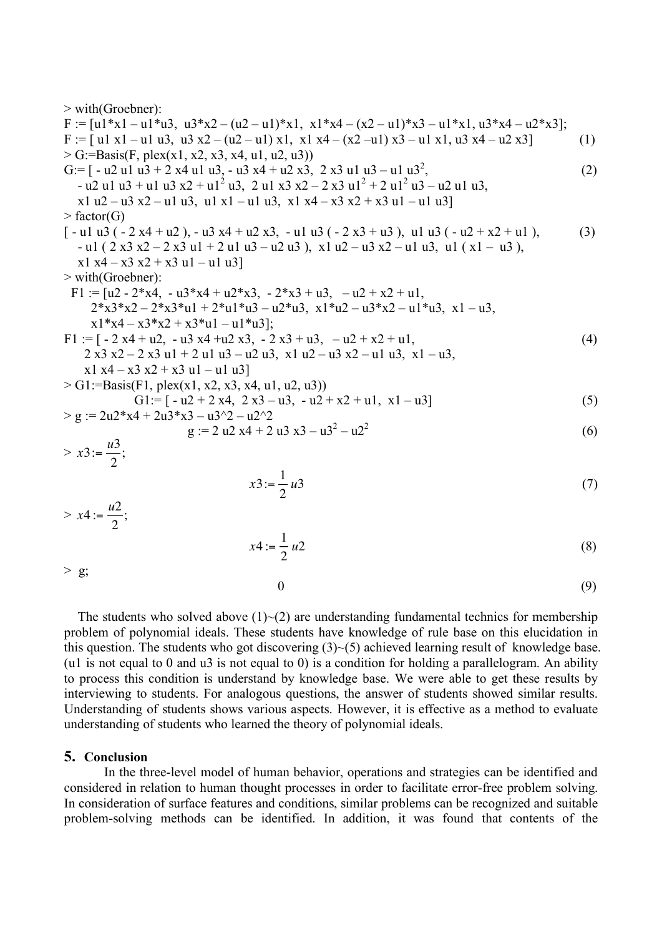> with(Groebner): F := [u1\*x1 – u1\*u3, u3\*x2 – (u2 – u1)\*x1, x1\*x4 – (x2 – u1)\*x3 – u1\*x1, u3\*x4 – u2\*x3]; F := [ u1 x1 – u1 u3, u3 x2 – (u2 – u1) x1, x1 x4 – (x2 –u1) x3 – u1 x1, u3 x4 – u2 x3] (1) > G:=Basis(F, plex(x1, x2, x3, x4, u1, u2, u3)) G:= [ - u2 u1 u3 + 2 x4 u1 u3, - u3 x4 + u2 x3, 2 x3 u1 u3 – u1 u32 , (2) - u2 u1 u3 + u1 u3 x2 + u12 u3, 2 u1 x3 x2 – 2 x3 u1<sup>2</sup> + 2 u12 u3 – u2 u1 u3, x1 u2 – u3 x2 – u1 u3, u1 x1 – u1 u3, x1 x4 – x3 x2 + x3 u1 – u1 u3] > factor(G) [ - u1 u3 ( - 2 x4 + u2 ), - u3 x4 + u2 x3, - u1 u3 ( - 2 x3 + u3 ), u1 u3 ( - u2 + x2 + u1 ), (3) - u1 ( 2 x3 x2 – 2 x3 u1 + 2 u1 u3 – u2 u3 ), x1 u2 – u3 x2 – u1 u3, u1 ( x1 – u3 ), x1 x4 – x3 x2 + x3 u1 – u1 u3] > with(Groebner): F1 := [u2 - 2\*x4, - u3\*x4 + u2\*x3, - 2\*x3 + u3, – u2 + x2 + u1, 2\*x3\*x2 – 2\*x3\*u1 + 2\*u1\*u3 – u2\*u3, x1\*u2 – u3\*x2 – u1\*u3, x1 – u3, x1\*x4 – x3\*x2 + x3\*u1 – u1\*u3]; F1 := [ - 2 x4 + u2, - u3 x4 +u2 x3, - 2 x3 + u3, – u2 + x2 + u1, (4) 2 x3 x2 – 2 x3 u1 + 2 u1 u3 – u2 u3, x1 u2 – u3 x2 – u1 u3, x1 – u3, x1 x4 – x3 x2 + x3 u1 – u1 u3] > G1:=Basis(F1, plex(x1, x2, x3, x4, u1, u2, u3)) G1:= [ - u2 + 2 x4, 2 x3 – u3, - u2 + x2 + u1, x1 – u3] (5) > g := 2u2\*x4 + 2u3\*x3 – u3^2 – u2^2 g := 2 u2 x4 + 2 u3 x3 – u32 – u22 (6) > *<sup>x</sup>*3:<sup>=</sup> *<sup>u</sup>*<sup>3</sup> 2 ; *<sup>x</sup>*3:<sup>=</sup> <sup>1</sup> 2 *u*3 (7) > *<sup>x</sup>*<sup>4</sup> :<sup>=</sup> *<sup>u</sup>*<sup>2</sup> 2 ; *<sup>x</sup>*<sup>4</sup> :<sup>=</sup> <sup>1</sup> 2 *u*2 (8)

 $0 \tag{9}$ 

The students who solved above  $(1)$   $\sim$  (2) are understanding fundamental technics for membership problem of polynomial ideals. These students have knowledge of rule base on this elucidation in this question. The students who got discovering  $(3)$   $\sim$  (5) achieved learning result of knowledge base. (u1 is not equal to 0 and u3 is not equal to 0) is a condition for holding a parallelogram. An ability to process this condition is understand by knowledge base. We were able to get these results by interviewing to students. For analogous questions, the answer of students showed similar results. Understanding of students shows various aspects. However, it is effective as a method to evaluate understanding of students who learned the theory of polynomial ideals.

#### **5. Conclusion**

 $>$  g;

In the three-level model of human behavior, operations and strategies can be identified and considered in relation to human thought processes in order to facilitate error-free problem solving. In consideration of surface features and conditions, similar problems can be recognized and suitable problem-solving methods can be identified. In addition, it was found that contents of the